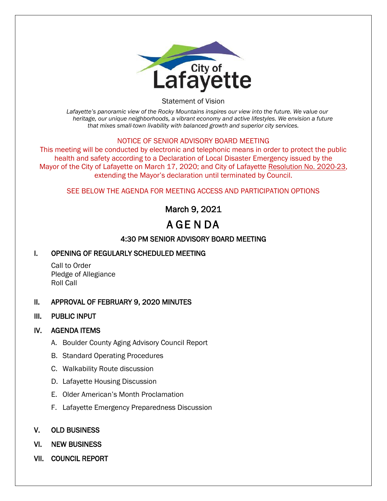

Statement of Vision

*Lafayette's panoramic view of the Rocky Mountains inspires our view into the future. We value our heritage, our unique neighborhoods, a vibrant economy and active lifestyles. We envision a future that mixes small-town livability with balanced growth and superior city services.*

### NOTICE OF SENIOR ADVISORY BOARD MEETING

This meeting will be conducted by electronic and telephonic means in order to protect the public health and safety according to a Declaration of Local Disaster Emergency issued by the Mayor of the City of Lafayette on March 17, 2020; and City of Lafayette Resolution No. 2020-23, extending the Mayor's declaration until terminated by Council.

### SEE BELOW THE AGENDA FOR MEETING ACCESS AND PARTICIPATION OPTIONS

## March 9, 2021

# A GE N DA

## 4:30 PM SENIOR ADVISORY BOARD MEETING

## I. OPENING OF REGULARLY SCHEDULED MEETING

Call to Order Pledge of Allegiance Roll Call

### II. APPROVAL OF FEBRUARY 9, 2020 MINUTES

### III. PUBLIC INPUT

### IV. AGENDA ITEMS

- A. Boulder County Aging Advisory Council Report
- B. Standard Operating Procedures
- C. Walkability Route discussion
- D. Lafayette Housing Discussion
- E. Older American's Month Proclamation
- F. Lafayette Emergency Preparedness Discussion
- V. OLD BUSINESS
- VI. NEW BUSINESS
- VII. COUNCIL REPORT